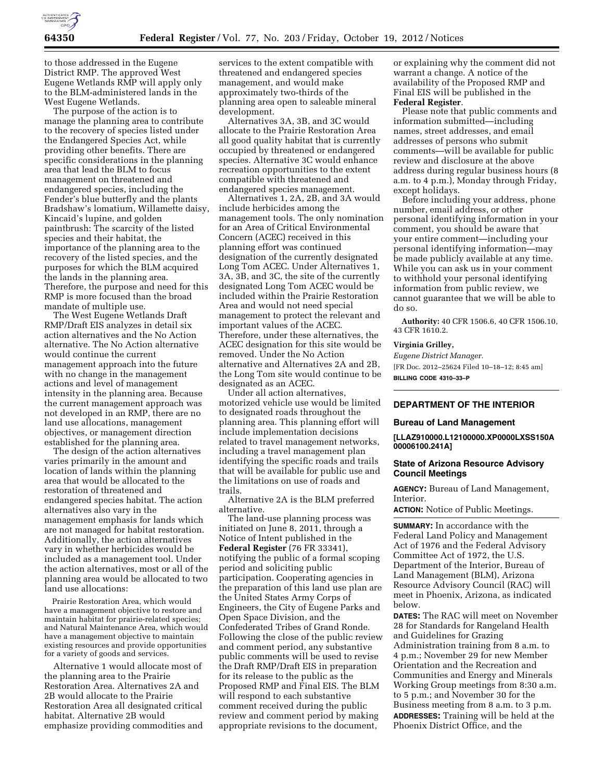

to those addressed in the Eugene District RMP. The approved West Eugene Wetlands RMP will apply only to the BLM-administered lands in the West Eugene Wetlands.

The purpose of the action is to manage the planning area to contribute to the recovery of species listed under the Endangered Species Act, while providing other benefits. There are specific considerations in the planning area that lead the BLM to focus management on threatened and endangered species, including the Fender's blue butterfly and the plants Bradshaw's lomatium, Willamette daisy, Kincaid's lupine, and golden paintbrush: The scarcity of the listed species and their habitat, the importance of the planning area to the recovery of the listed species, and the purposes for which the BLM acquired the lands in the planning area. Therefore, the purpose and need for this RMP is more focused than the broad mandate of multiple use.

The West Eugene Wetlands Draft RMP/Draft EIS analyzes in detail six action alternatives and the No Action alternative. The No Action alternative would continue the current management approach into the future with no change in the management actions and level of management intensity in the planning area. Because the current management approach was not developed in an RMP, there are no land use allocations, management objectives, or management direction established for the planning area.

The design of the action alternatives varies primarily in the amount and location of lands within the planning area that would be allocated to the restoration of threatened and endangered species habitat. The action alternatives also vary in the management emphasis for lands which are not managed for habitat restoration. Additionally, the action alternatives vary in whether herbicides would be included as a management tool. Under the action alternatives, most or all of the planning area would be allocated to two land use allocations:

Prairie Restoration Area, which would have a management objective to restore and maintain habitat for prairie-related species; and Natural Maintenance Area, which would have a management objective to maintain existing resources and provide opportunities for a variety of goods and services.

Alternative 1 would allocate most of the planning area to the Prairie Restoration Area. Alternatives 2A and 2B would allocate to the Prairie Restoration Area all designated critical habitat. Alternative 2B would emphasize providing commodities and

services to the extent compatible with threatened and endangered species management, and would make approximately two-thirds of the planning area open to saleable mineral development.

Alternatives 3A, 3B, and 3C would allocate to the Prairie Restoration Area all good quality habitat that is currently occupied by threatened or endangered species. Alternative 3C would enhance recreation opportunities to the extent compatible with threatened and endangered species management.

Alternatives 1, 2A, 2B, and 3A would include herbicides among the management tools. The only nomination for an Area of Critical Environmental Concern (ACEC) received in this planning effort was continued designation of the currently designated Long Tom ACEC. Under Alternatives 1, 3A, 3B, and 3C, the site of the currently designated Long Tom ACEC would be included within the Prairie Restoration Area and would not need special management to protect the relevant and important values of the ACEC. Therefore, under these alternatives, the ACEC designation for this site would be removed. Under the No Action alternative and Alternatives 2A and 2B, the Long Tom site would continue to be designated as an ACEC.

Under all action alternatives, motorized vehicle use would be limited to designated roads throughout the planning area. This planning effort will include implementation decisions related to travel management networks, including a travel management plan identifying the specific roads and trails that will be available for public use and the limitations on use of roads and trails.

Alternative 2A is the BLM preferred alternative.

The land-use planning process was initiated on June 8, 2011, through a Notice of Intent published in the **Federal Register** (76 FR 33341), notifying the public of a formal scoping period and soliciting public participation. Cooperating agencies in the preparation of this land use plan are the United States Army Corps of Engineers, the City of Eugene Parks and Open Space Division, and the Confederated Tribes of Grand Ronde. Following the close of the public review and comment period, any substantive public comments will be used to revise the Draft RMP/Draft EIS in preparation for its release to the public as the Proposed RMP and Final EIS. The BLM will respond to each substantive comment received during the public review and comment period by making appropriate revisions to the document,

or explaining why the comment did not warrant a change. A notice of the availability of the Proposed RMP and Final EIS will be published in the **Federal Register**.

Please note that public comments and information submitted—including names, street addresses, and email addresses of persons who submit comments—will be available for public review and disclosure at the above address during regular business hours (8 a.m. to 4 p.m.), Monday through Friday, except holidays.

Before including your address, phone number, email address, or other personal identifying information in your comment, you should be aware that your entire comment—including your personal identifying information—may be made publicly available at any time. While you can ask us in your comment to withhold your personal identifying information from public review, we cannot guarantee that we will be able to do so.

**Authority:** 40 CFR 1506.6, 40 CFR 1506.10, 43 CFR 1610.2.

#### **Virginia Grilley,**

*Eugene District Manager.*  [FR Doc. 2012–25624 Filed 10–18–12; 8:45 am] **BILLING CODE 4310–33–P** 

# **DEPARTMENT OF THE INTERIOR**

#### **Bureau of Land Management**

**[LLAZ910000.L12100000.XP0000LXSS150A 00006100.241A]** 

### **State of Arizona Resource Advisory Council Meetings**

**AGENCY:** Bureau of Land Management, Interior.

**ACTION:** Notice of Public Meetings.

**SUMMARY:** In accordance with the Federal Land Policy and Management Act of 1976 and the Federal Advisory Committee Act of 1972, the U.S. Department of the Interior, Bureau of Land Management (BLM), Arizona Resource Advisory Council (RAC) will meet in Phoenix, Arizona, as indicated below.

**DATES:** The RAC will meet on November 28 for Standards for Rangeland Health and Guidelines for Grazing Administration training from 8 a.m. to 4 p.m.; November 29 for new Member Orientation and the Recreation and Communities and Energy and Minerals Working Group meetings from 8:30 a.m. to 5 p.m.; and November 30 for the Business meeting from 8 a.m. to 3 p.m. **ADDRESSES:** Training will be held at the Phoenix District Office, and the